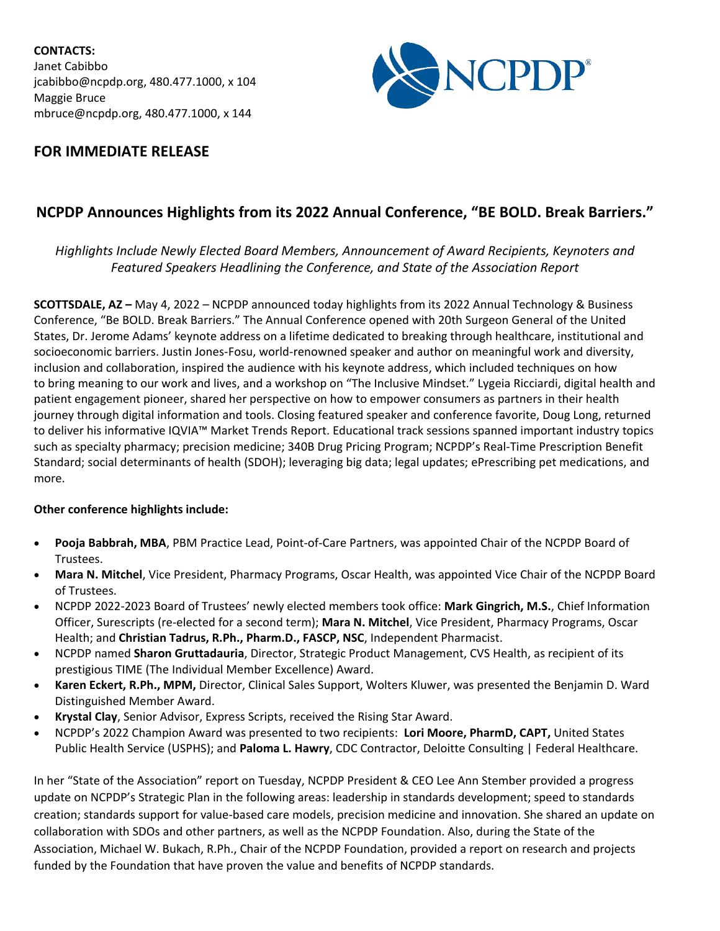**CONTACTS:** Janet Cabibbo jcabibbo@ncpdp.org, 480.477.1000, x 104 Maggie Bruce mbruce@ncpdp.org, 480.477.1000, x 144



## **FOR IMMEDIATE RELEASE**

# **NCPDP Announces Highlights from its 2022 Annual Conference, "BE BOLD. Break Barriers."**

### *Highlights Include Newly Elected Board Members, Announcement of Award Recipients, Keynoters and Featured Speakers Headlining the Conference, and State of the Association Report*

**SCOTTSDALE, AZ –** May 4, 2022 – NCPDP announced today highlights from its 2022 Annual Technology & Business Conference, "Be BOLD. Break Barriers." The Annual Conference opened with 20th Surgeon General of the United States, Dr. Jerome Adams' keynote address on a lifetime dedicated to breaking through healthcare, institutional and socioeconomic barriers. Justin Jones-Fosu, world-renowned speaker and author on meaningful work and diversity, inclusion and collaboration, inspired the audience with his keynote address, which included techniques on how to bring meaning to our work and lives, and a workshop on "The Inclusive Mindset." Lygeia Ricciardi, digital health and patient engagement pioneer, shared her perspective on how to empower consumers as partners in their health journey through digital information and tools. Closing featured speaker and conference favorite, Doug Long, returned to deliver his informative IQVIA™ Market Trends Report. Educational track sessions spanned important industry topics such as specialty pharmacy; precision medicine; 340B Drug Pricing Program; NCPDP's Real-Time Prescription Benefit Standard; social determinants of health (SDOH); leveraging big data; legal updates; ePrescribing pet medications, and more.

#### **Other conference highlights include:**

- **Pooja Babbrah, MBA**, PBM Practice Lead, Point-of-Care Partners, was appointed Chair of the NCPDP Board of Trustees.
- **Mara N. Mitchel**, Vice President, Pharmacy Programs, Oscar Health, was appointed Vice Chair of the NCPDP Board of Trustees.
- NCPDP 2022-2023 Board of Trustees' newly elected members took office: **Mark Gingrich, M.S.**, Chief Information Officer, Surescripts (re-elected for a second term); **Mara N. Mitchel**, Vice President, Pharmacy Programs, Oscar Health; and **Christian Tadrus, R.Ph., Pharm.D., FASCP, NSC**, Independent Pharmacist.
- NCPDP named **Sharon Gruttadauria**, Director, Strategic Product Management, CVS Health, as recipient of its prestigious TIME (The Individual Member Excellence) Award.
- **Karen Eckert, R.Ph., MPM,** Director, Clinical Sales Support, Wolters Kluwer, was presented the Benjamin D. Ward Distinguished Member Award.
- **Krystal Clay**, Senior Advisor, Express Scripts, received the Rising Star Award.
- NCPDP's 2022 Champion Award was presented to two recipients: **Lori Moore, PharmD, CAPT,** United States Public Health Service (USPHS); and **Paloma L. Hawry**, CDC Contractor, Deloitte Consulting | Federal Healthcare.

In her "State of the Association" report on Tuesday, NCPDP President & CEO Lee Ann Stember provided a progress update on NCPDP's Strategic Plan in the following areas: leadership in standards development; speed to standards creation; standards support for value-based care models, precision medicine and innovation. She shared an update on collaboration with SDOs and other partners, as well as the NCPDP Foundation. Also, during the State of the Association, Michael W. Bukach, R.Ph., Chair of the NCPDP Foundation, provided a report on research and projects funded by the Foundation that have proven the value and benefits of NCPDP standards.